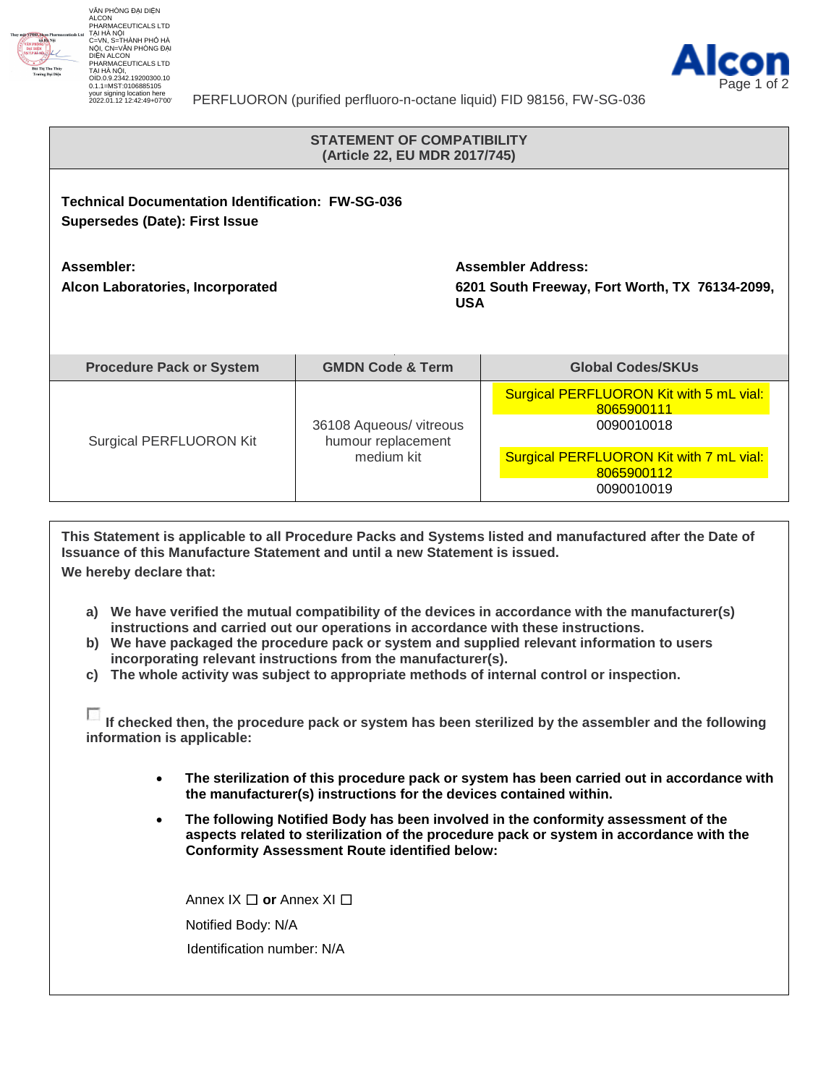

VĂN PHÒNG ĐẠI DIỆN<br>ALCON<br>PHARMACEUTICALS LTD TẠI HÀ NỘI C=VN, S=THÀNH PHỐ HÀ NỘI, CN=VĂN PHÒNG ĐẠI DIỆN ALCON PHARMACEUTICALS LTD TẠI HÀ NỘI, OID.0.9.2342.19200300.10 0.1.1=MST:0106885105 your signing location here 2022.01.12 12:42:49+07'00'



PERFLUORON (purified perfluoro-n-octane liquid) FID 98156, FW-SG-036

## **STATEMENT OF COMPATIBILITY (Article 22, EU MDR 2017/745)**

**Technical Documentation Identification: FW-SG-036 Supersedes (Date): First Issue**

**Assembler: Alcon Laboratories, Incorporated** **Assembler Address: 6201 South Freeway, Fort Worth, TX 76134-2099, USA**

| <b>Procedure Pack or System</b> | <b>GMDN Code &amp; Term</b>                                 | <b>Global Codes/SKUs</b>                                            |
|---------------------------------|-------------------------------------------------------------|---------------------------------------------------------------------|
| Surgical PERFLUORON Kit         | 36108 Aqueous/ vitreous<br>humour replacement<br>medium kit | Surgical PERFLUORON Kit with 5 mL vial:<br>8065900111<br>0090010018 |
|                                 |                                                             | Surgical PERFLUORON Kit with 7 mL vial:<br>8065900112<br>0090010019 |

**This Statement is applicable to all Procedure Packs and Systems listed and manufactured after the Date of Issuance of this Manufacture Statement and until a new Statement is issued. We hereby declare that:**

- **a) We have verified the mutual compatibility of the devices in accordance with the manufacturer(s) instructions and carried out our operations in accordance with these instructions.**
- **b) We have packaged the procedure pack or system and supplied relevant information to users incorporating relevant instructions from the manufacturer(s).**
- **c) The whole activity was subject to appropriate methods of internal control or inspection.**

**If checked then, the procedure pack or system has been sterilized by the assembler and the following information is applicable:**

- **The sterilization of this procedure pack or system has been carried out in accordance with the manufacturer(s) instructions for the devices contained within.**
- **The following Notified Body has been involved in the conformity assessment of the aspects related to sterilization of the procedure pack or system in accordance with the Conformity Assessment Route identified below:**

Annex IX ☐ **or** Annex XI ☐ Notified Body: N/A Identification number: N/A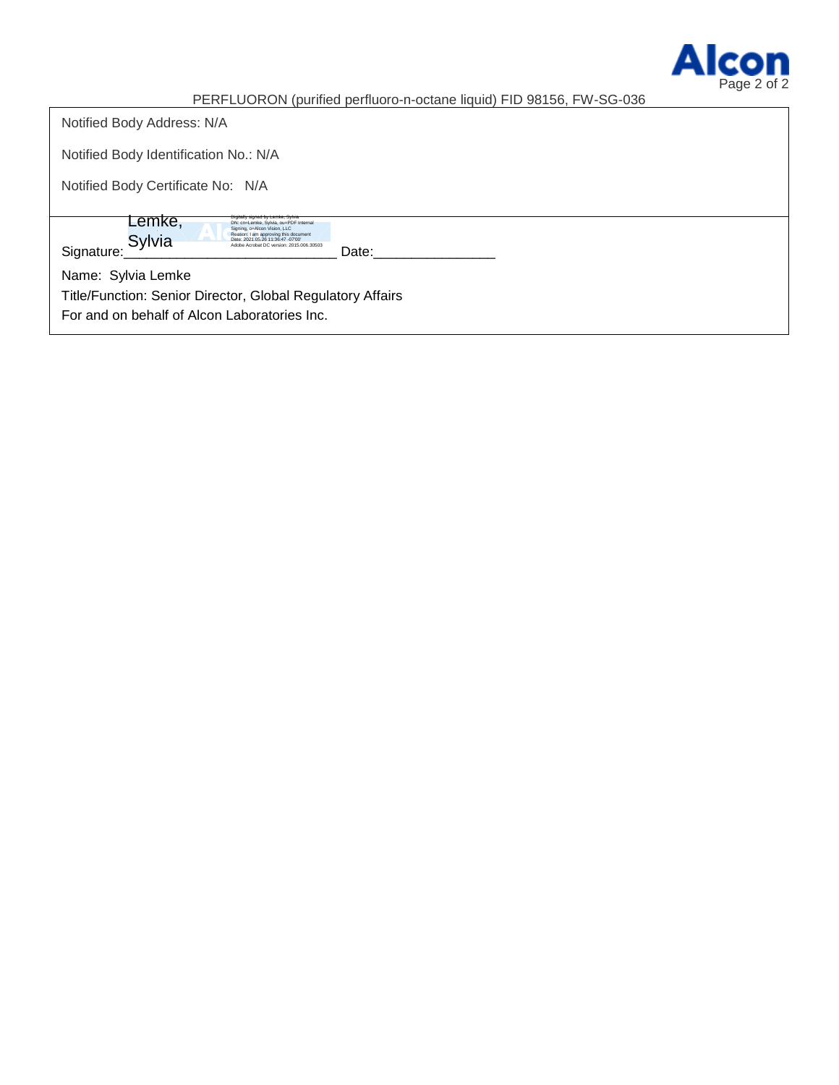

PERFLUORON (purified perfluoro-n-octane liquid) FID 98156, FW-SG-036

| Notified Body Address: N/A                                                                                                                                                             |  |  |
|----------------------------------------------------------------------------------------------------------------------------------------------------------------------------------------|--|--|
| Notified Body Identification No.: N/A                                                                                                                                                  |  |  |
| Notified Body Certificate No: N/A                                                                                                                                                      |  |  |
| Lemke,<br>natirona estrica ná romaci olim<br>DN: cn=Lemke, Sylvia, ou=PDF Internal                                                                                                     |  |  |
| Signing, o=Alcon Vision, LLC<br>Reason: I am approving this document<br>Sylvia<br>Date: 2021.05.26 11:36:47 -07'00'<br>Adobe Acrobat DC version: 2015.006.30503<br>Signature:<br>Date: |  |  |
| Name: Sylvia Lemke                                                                                                                                                                     |  |  |
| Title/Function: Senior Director, Global Regulatory Affairs                                                                                                                             |  |  |
| For and on behalf of Alcon Laboratories Inc.                                                                                                                                           |  |  |
|                                                                                                                                                                                        |  |  |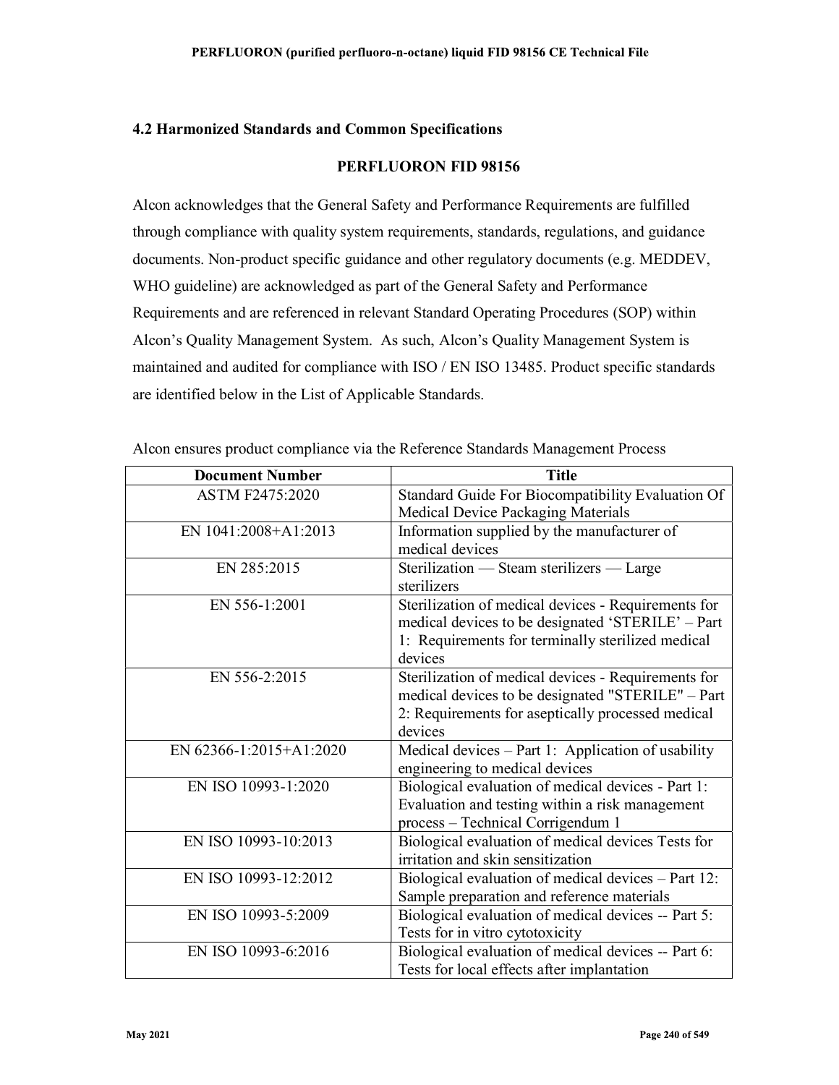## 4.2 Harmonized Standards and Common Specifications

## PERFLUORON FID 98156

Alcon acknowledges that the General Safety and Performance Requirements are fulfilled through compliance with quality system requirements, standards, regulations, and guidance documents. Non-product specific guidance and other regulatory documents (e.g. MEDDEV, WHO guideline) are acknowledged as part of the General Safety and Performance Requirements and are referenced in relevant Standard Operating Procedures (SOP) within Alcon's Quality Management System. As such, Alcon's Quality Management System is maintained and audited for compliance with ISO / EN ISO 13485. Product specific standards are identified below in the List of Applicable Standards.

| <b>Document Number</b>  | <b>Title</b>                                        |
|-------------------------|-----------------------------------------------------|
| ASTM F2475:2020         | Standard Guide For Biocompatibility Evaluation Of   |
|                         | Medical Device Packaging Materials                  |
| EN 1041:2008+A1:2013    | Information supplied by the manufacturer of         |
|                         | medical devices                                     |
| EN 285:2015             | Sterilization — Steam sterilizers — Large           |
|                         | sterilizers                                         |
| EN 556-1:2001           | Sterilization of medical devices - Requirements for |
|                         | medical devices to be designated 'STERILE' - Part   |
|                         | 1: Requirements for terminally sterilized medical   |
|                         | devices                                             |
| EN 556-2:2015           | Sterilization of medical devices - Requirements for |
|                         | medical devices to be designated "STERILE" - Part   |
|                         | 2: Requirements for aseptically processed medical   |
|                         | devices                                             |
| EN 62366-1:2015+A1:2020 | Medical devices - Part 1: Application of usability  |
|                         | engineering to medical devices                      |
| EN ISO 10993-1:2020     | Biological evaluation of medical devices - Part 1:  |
|                         | Evaluation and testing within a risk management     |
|                         | process - Technical Corrigendum 1                   |
| EN ISO 10993-10:2013    | Biological evaluation of medical devices Tests for  |
|                         | irritation and skin sensitization                   |
| EN ISO 10993-12:2012    | Biological evaluation of medical devices - Part 12: |
|                         | Sample preparation and reference materials          |
| EN ISO 10993-5:2009     | Biological evaluation of medical devices -- Part 5: |
|                         | Tests for in vitro cytotoxicity                     |
| EN ISO 10993-6:2016     | Biological evaluation of medical devices -- Part 6: |
|                         | Tests for local effects after implantation          |

Alcon ensures product compliance via the Reference Standards Management Process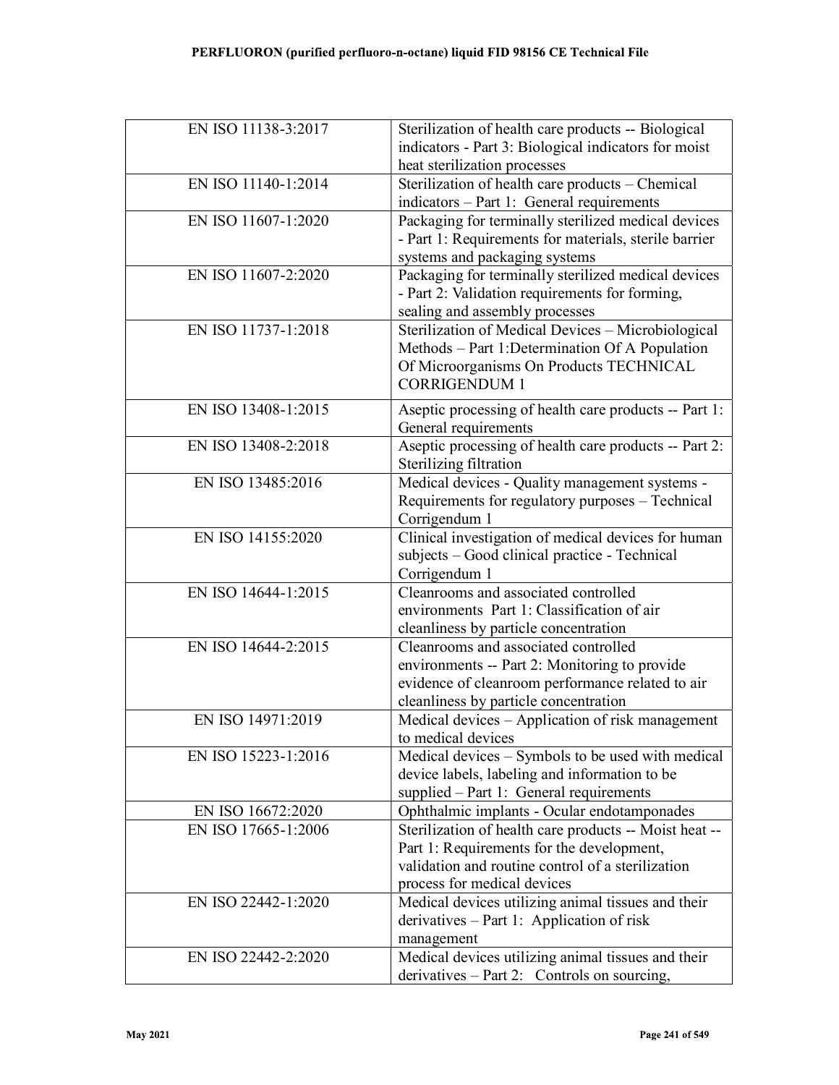| EN ISO 11138-3:2017 | Sterilization of health care products -- Biological    |
|---------------------|--------------------------------------------------------|
|                     | indicators - Part 3: Biological indicators for moist   |
|                     | heat sterilization processes                           |
| EN ISO 11140-1:2014 | Sterilization of health care products - Chemical       |
|                     | indicators - Part 1: General requirements              |
| EN ISO 11607-1:2020 | Packaging for terminally sterilized medical devices    |
|                     | - Part 1: Requirements for materials, sterile barrier  |
|                     | systems and packaging systems                          |
| EN ISO 11607-2:2020 | Packaging for terminally sterilized medical devices    |
|                     | - Part 2: Validation requirements for forming,         |
|                     | sealing and assembly processes                         |
| EN ISO 11737-1:2018 | Sterilization of Medical Devices - Microbiological     |
|                     | Methods - Part 1: Determination Of A Population        |
|                     | Of Microorganisms On Products TECHNICAL                |
|                     | <b>CORRIGENDUM 1</b>                                   |
| EN ISO 13408-1:2015 | Aseptic processing of health care products -- Part 1:  |
|                     | General requirements                                   |
| EN ISO 13408-2:2018 | Aseptic processing of health care products -- Part 2:  |
|                     | Sterilizing filtration                                 |
| EN ISO 13485:2016   | Medical devices - Quality management systems -         |
|                     | Requirements for regulatory purposes - Technical       |
|                     | Corrigendum 1                                          |
| EN ISO 14155:2020   | Clinical investigation of medical devices for human    |
|                     | subjects - Good clinical practice - Technical          |
|                     | Corrigendum 1                                          |
| EN ISO 14644-1:2015 | Cleanrooms and associated controlled                   |
|                     | environments Part 1: Classification of air             |
|                     | cleanliness by particle concentration                  |
| EN ISO 14644-2:2015 | Cleanrooms and associated controlled                   |
|                     | environments -- Part 2: Monitoring to provide          |
|                     | evidence of cleanroom performance related to air       |
|                     | cleanliness by particle concentration                  |
| EN ISO 14971:2019   | Medical devices - Application of risk management       |
|                     | to medical devices                                     |
| EN ISO 15223-1:2016 | Medical devices - Symbols to be used with medical      |
|                     | device labels, labeling and information to be          |
|                     | supplied - Part 1: General requirements                |
| EN ISO 16672:2020   | Ophthalmic implants - Ocular endotamponades            |
| EN ISO 17665-1:2006 | Sterilization of health care products -- Moist heat -- |
|                     | Part 1: Requirements for the development,              |
|                     | validation and routine control of a sterilization      |
|                     | process for medical devices                            |
| EN ISO 22442-1:2020 | Medical devices utilizing animal tissues and their     |
|                     | derivatives $-$ Part 1: Application of risk            |
|                     | management                                             |
| EN ISO 22442-2:2020 | Medical devices utilizing animal tissues and their     |
|                     | derivatives $-$ Part 2: Controls on sourcing,          |